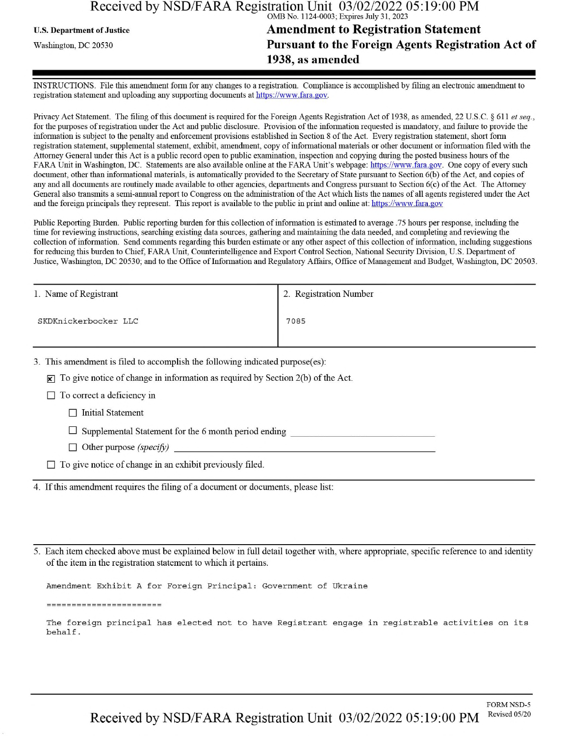#### Received by NSD/FARA Registration Unit 03/02/2022 05:19:00 PM OMB No. 1124-0003; Expires July 31, 2023

# **U.S. Department of Justice Amendment to Registration Statement** Washington, dc <sup>20530</sup>**Pursuant to the Foreign Agents Registration Act of 1938, as amended**

INSTRUCTIONS. File this amendment form for any changes to a registration. Compliance is accomplished by filing an electronic amendment to registration statement and uploading any supporting documents at https://www.fara.gov.

Privacy Act Statement. The filing of this document is required for the Foreign Agents Registration Act of 1938, as amended, 22 U.S.C. § 611 *et seq.*, for the purposes ofregistration under the Act and public disclosure. Provision ofthe information requested is mandatory, and failure to provide the information is subject to the penalty and enforcement provisions established in Section 8 ofthe Act. Every registration statement, short form registration statement, supplemental statement, exhibit, amendment, copy ofinformational materials or other document or information filed with the Attorney General under this Act is a public record open to public examination, inspection and copying during the posted business hours ofthe FARA Unit in Washington, DC. Statements are also available online at the FARA Unit's webpage: https://www.fara.gov. One copy of every such document, other than informational materials, is automatically provided to the Secretary of State pursuant to Section 6(b) ofthe Act, and copies of any and all documents are routinely made available to other agencies, departments and Congress pursuant to Section 6(c) ofthe Act. The Attorney General also transmits a semi-annual report to Congress on the administration ofthe Act which lists the names of all agents registered under the Act and the foreign principals they represent. This report is available to the public in print and online at: https://www.fara.gov

Public Reporting Burden. Public reporting burden for this collection ofinformation is estimated to average .75 hours per response, including the time for reviewing instructions, searching existing data sources, gathering and maintaining the data needed, and completing and reviewing the collection of information. Send comments regarding this burden estimate or any other aspect of this collection of information, including suggestions for reducing this burden to Chief, FARA Unit, Counterintelligence and Export Control Section, National Security Division, U.S. Department of Justice, Washington, DC 20530; and to the Office of Information and Regulatory Affairs, Office of Management and Budget, Washington, DC 20503.

| 1. Name of Registrant | 2. Registration Number |
|-----------------------|------------------------|
| SKDKnickerbocker LLC  | 7085                   |

3. This amendment is filed to accomplish the following indicated purpose(es):

 $\mathbf{\times}$  To give notice of change in information as required by Section 2(b) of the Act.

 $\Box$  To correct a deficiency in

 $\Box$  Initial Statement

 $\Box$  Supplemental Statement for the 6 month period ending

 $\Box$  Other purpose *(specify)* 

 $\Box$  To give notice of change in an exhibit previously filed.

4. Ifthis amendment requires the filing of a document or documents, please list:

5. Each item checked above must be explained below in full detail together with, where appropriate, specific reference to and identity of the item in the registration statement to which it pertains.

Amendment Exhibit A for Foreign Principal: Government of Ukraine

========================

The foreign principal has elected not to have Registrant engage in registrable activities on its behalf.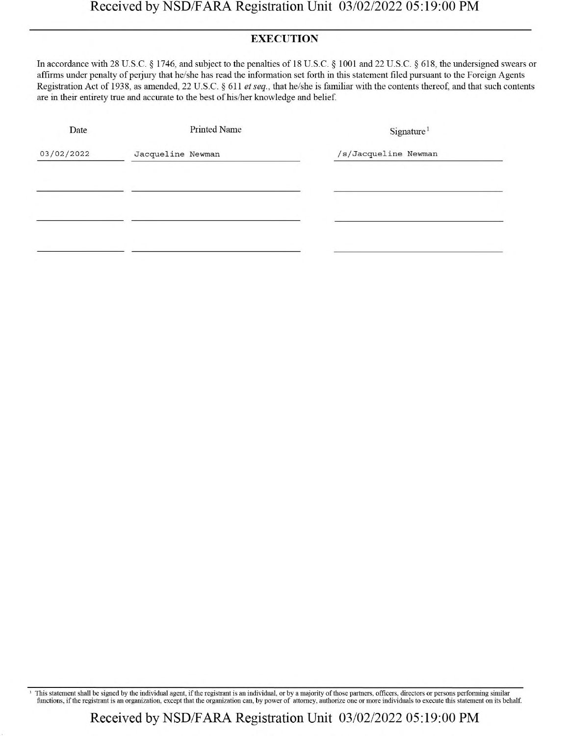## **EXECUTION**

In accordance with 28 U.S.C. § 1746, and subject to the penalties of 18 U.S.C. § 1001 and 22 U.S.C. § 618, the undersigned swears or affirms under penalty of perjury that he/she has read the information set forth in this statement filed pursuant to the Foreign Agents Registration Act of 1938, as amended, 22 U.S.C. § 611 *etseq.,* that he/she is familiar with the contents thereof, and that such contents are in their entirety true and accurate to the best of his/her knowledge and belief.

| Date       | Printed Name      | Sigma <sup>1</sup>   |
|------------|-------------------|----------------------|
| 03/02/2022 | Jacqueline Newman | /s/Jacqueline Newman |
|            |                   |                      |
|            |                   |                      |
|            |                   |                      |
|            |                   |                      |

This statement shall be signed by the individual agent, if the registrant is an individual, or by a majority of those partners, officers, directors or persons performing similar functions, if the registrant is an organizat